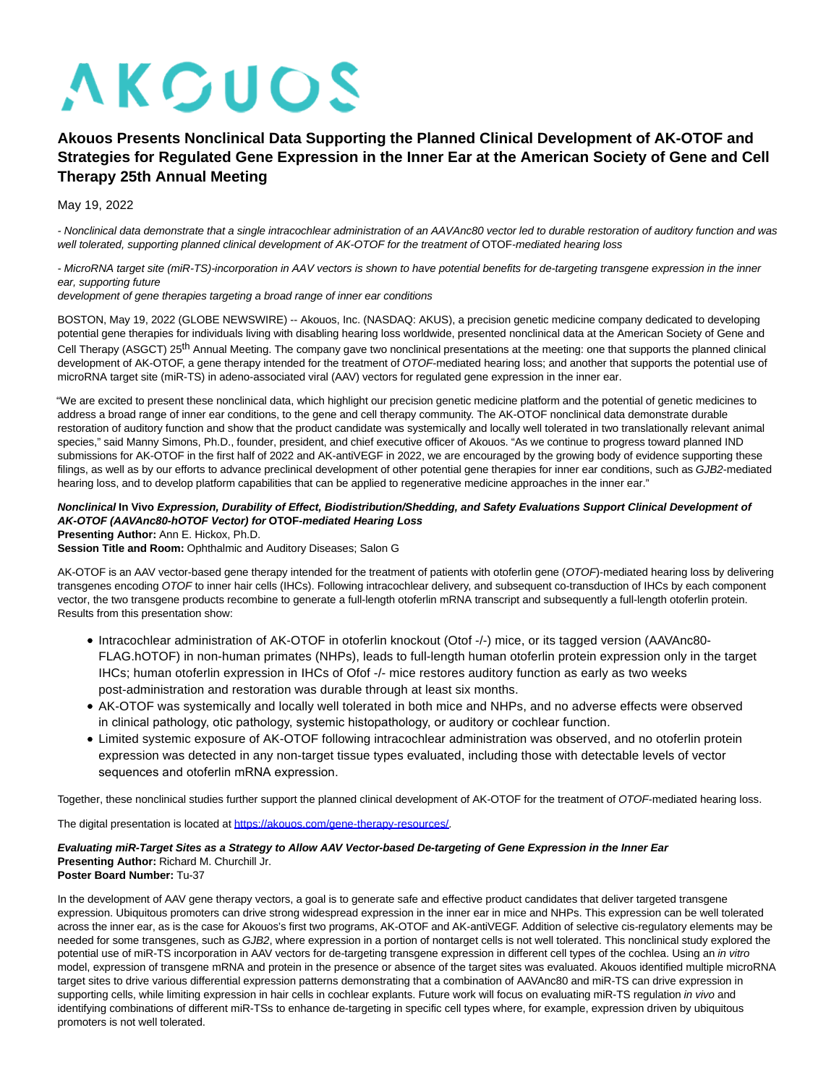# **AKCUOS**

# **Akouos Presents Nonclinical Data Supporting the Planned Clinical Development of AK-OTOF and Strategies for Regulated Gene Expression in the Inner Ear at the American Society of Gene and Cell Therapy 25th Annual Meeting**

May 19, 2022

- Nonclinical data demonstrate that a single intracochlear administration of an AAVAnc80 vector led to durable restoration of auditory function and was well tolerated, supporting planned clinical development of AK-OTOF for the treatment of OTOF-mediated hearing loss

- MicroRNA target site (miR-TS)-incorporation in AAV vectors is shown to have potential benefits for de-targeting transgene expression in the inner ear, supporting future

development of gene therapies targeting a broad range of inner ear conditions

BOSTON, May 19, 2022 (GLOBE NEWSWIRE) -- Akouos, Inc. (NASDAQ: AKUS), a precision genetic medicine company dedicated to developing potential gene therapies for individuals living with disabling hearing loss worldwide, presented nonclinical data at the American Society of Gene and Cell Therapy (ASGCT) 25<sup>th</sup> Annual Meeting. The company gave two nonclinical presentations at the meeting: one that supports the planned clinical development of AK-OTOF, a gene therapy intended for the treatment of OTOF-mediated hearing loss; and another that supports the potential use of microRNA target site (miR-TS) in adeno-associated viral (AAV) vectors for regulated gene expression in the inner ear.

"We are excited to present these nonclinical data, which highlight our precision genetic medicine platform and the potential of genetic medicines to address a broad range of inner ear conditions, to the gene and cell therapy community. The AK-OTOF nonclinical data demonstrate durable restoration of auditory function and show that the product candidate was systemically and locally well tolerated in two translationally relevant animal species," said Manny Simons, Ph.D., founder, president, and chief executive officer of Akouos. "As we continue to progress toward planned IND submissions for AK-OTOF in the first half of 2022 and AK-antiVEGF in 2022, we are encouraged by the growing body of evidence supporting these filings, as well as by our efforts to advance preclinical development of other potential gene therapies for inner ear conditions, such as GJB2-mediated hearing loss, and to develop platform capabilities that can be applied to regenerative medicine approaches in the inner ear."

## **Nonclinical In Vivo Expression, Durability of Effect, Biodistribution/Shedding, and Safety Evaluations Support Clinical Development of AK-OTOF (AAVAnc80-hOTOF Vector) for OTOF-mediated Hearing Loss**

**Presenting Author:** Ann E. Hickox, Ph.D.

Session Title and Room: Ophthalmic and Auditory Diseases; Salon G

AK-OTOF is an AAV vector-based gene therapy intended for the treatment of patients with otoferlin gene (OTOF)-mediated hearing loss by delivering transgenes encoding OTOF to inner hair cells (IHCs). Following intracochlear delivery, and subsequent co-transduction of IHCs by each component vector, the two transgene products recombine to generate a full-length otoferlin mRNA transcript and subsequently a full-length otoferlin protein. Results from this presentation show:

- Intracochlear administration of AK-OTOF in otoferlin knockout (Otof -/-) mice, or its tagged version (AAVAnc80- FLAG.hOTOF) in non-human primates (NHPs), leads to full-length human otoferlin protein expression only in the target IHCs; human otoferlin expression in IHCs of Ofof -/- mice restores auditory function as early as two weeks post-administration and restoration was durable through at least six months.
- AK-OTOF was systemically and locally well tolerated in both mice and NHPs, and no adverse effects were observed in clinical pathology, otic pathology, systemic histopathology, or auditory or cochlear function.
- Limited systemic exposure of AK-OTOF following intracochlear administration was observed, and no otoferlin protein expression was detected in any non-target tissue types evaluated, including those with detectable levels of vector sequences and otoferlin mRNA expression.

Together, these nonclinical studies further support the planned clinical development of AK-OTOF for the treatment of OTOF-mediated hearing loss.

The digital presentation is located at [https://akouos.com/gene-therapy-resources/.](https://www.globenewswire.com/Tracker?data=B5_GC3eXUeghJx4y_UMqHGJKBN6kLiCAlLOOQG-5s5Dy_x_NovX69jG1gqeStH85j46APIJqr4igMGEg4fugn6spZYKqj0KubmW2vxeIeSBL1431LKHXU0etsWClkQRqq9AlPmDOHHUsmrljJHHwzg==)

#### **Evaluating miR-Target Sites as a Strategy to Allow AAV Vector-based De-targeting of Gene Expression in the Inner Ear Presenting Author:** Richard M. Churchill Jr. **Poster Board Number:** Tu-37

In the development of AAV gene therapy vectors, a goal is to generate safe and effective product candidates that deliver targeted transgene expression. Ubiquitous promoters can drive strong widespread expression in the inner ear in mice and NHPs. This expression can be well tolerated across the inner ear, as is the case for Akouos's first two programs, AK-OTOF and AK-antiVEGF. Addition of selective cis-regulatory elements may be needed for some transgenes, such as GJB2, where expression in a portion of nontarget cells is not well tolerated. This nonclinical study explored the potential use of miR-TS incorporation in AAV vectors for de-targeting transgene expression in different cell types of the cochlea. Using an in vitro model, expression of transgene mRNA and protein in the presence or absence of the target sites was evaluated. Akouos identified multiple microRNA target sites to drive various differential expression patterns demonstrating that a combination of AAVAnc80 and miR-TS can drive expression in supporting cells, while limiting expression in hair cells in cochlear explants. Future work will focus on evaluating miR-TS regulation in vivo and identifying combinations of different miR-TSs to enhance de-targeting in specific cell types where, for example, expression driven by ubiquitous promoters is not well tolerated.